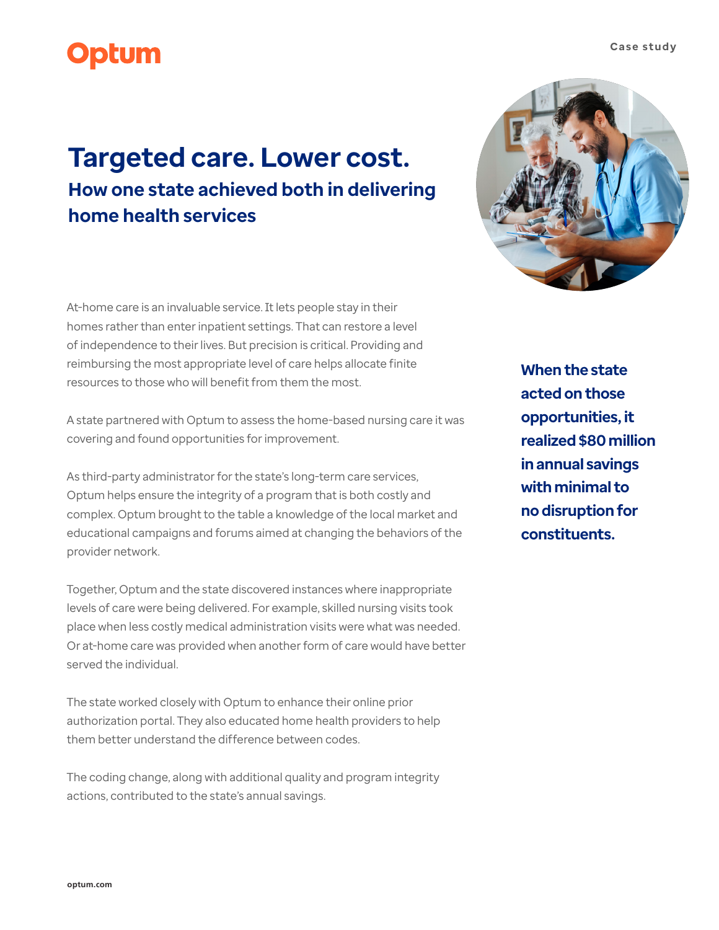## **Optum**

## **Targeted care. Lower cost. How one state achieved both in delivering home health services**

At-home care is an invaluable service. It lets people stay in their homes rather than enter inpatient settings. That can restore a level of independence to their lives. But precision is critical. Providing and reimbursing the most appropriate level of care helps allocate finite resources to those who will benefit from them the most.

A state partnered with Optum to assess the home-based nursing care it was covering and found opportunities for improvement.

As third-party administrator for the state's long-term care services, Optum helps ensure the integrity of a program that is both costly and complex. Optum brought to the table a knowledge of the local market and educational campaigns and forums aimed at changing the behaviors of the provider network.

Together, Optum and the state discovered instances where inappropriate levels of care were being delivered. For example, skilled nursing visits took place when less costly medical administration visits were what was needed. Or at-home care was provided when another form of care would have better served the individual.

The state worked closely with Optum to enhance their online prior authorization portal. They also educated home health providers to help them better understand the difference between codes.

The coding change, along with additional quality and program integrity actions, contributed to the state's annual savings.

**When the state acted on those opportunities, it realized \$80 million in annual savings with minimal to no disruption for constituents.**

**optum.com**



## **Case study**